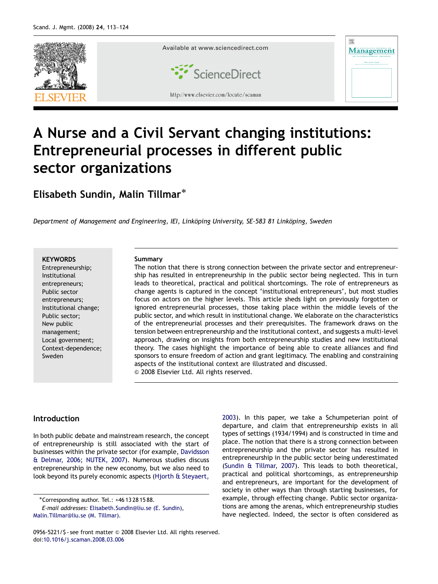

# A Nurse and a Civil Servant changing institutions: Entrepreneurial processes in different public sector organizations

Elisabeth Sundin, Malin Tillmar<sup>\*</sup>

Department of Management and Engineering, IEI, Linköping University, SE-583 81 Linköping, Sweden

#### **KEYWORDS**

Entrepreneurship; Institutional entrepreneurs; Public sector entrepreneurs; Institutional change; Public sector; New public management; Local government; Context-dependence; Sweden

#### Summary

The notion that there is strong connection between the private sector and entrepreneurship has resulted in entrepreneurship in the public sector being neglected. This in turn leads to theoretical, practical and political shortcomings. The role of entrepreneurs as change agents is captured in the concept 'institutional entrepreneurs', but most studies focus on actors on the higher levels. This article sheds light on previously forgotten or ignored entrepreneurial processes, those taking place within the middle levels of the public sector, and which result in institutional change. We elaborate on the characteristics of the entrepreneurial processes and their prerequisites. The framework draws on the tension between entrepreneurship and the institutional context, and suggests a multi-level approach, drawing on insights from both entrepreneurship studies and new institutional theory. The cases highlight the importance of being able to create alliances and find sponsors to ensure freedom of action and grant legitimacy. The enabling and constraining aspects of the institutional context are illustrated and discussed.  $\odot$  2008 Elsevier Ltd. All rights reserved.

### Introduction

In both public debate and mainstream research, the concept of entrepreneurship is still associated with the start of businesses within the private sector (for example, [Davidsson](#page--1-0) & [Delmar, 2006;](#page--1-0) [NUTEK, 2007](#page--1-0)). Numerous studies discuss entrepreneurship in the new economy, but we also need to look beyond its purely economic aspects ([Hjorth & Steyaert,](#page--1-0)

-Corresponding author. Tel.: +46 13 28 15 88.

E-mail addresses: [Elisabeth.Sundin@liu.se \(E. Sundin\)](mailto:Elisabeth.Sundin@liu.se), [Malin.Tillmar@liu.se \(M. Tillmar\).](mailto:Malin.Tillmar@liu.se)

0956-5221/\$ - see front matter @ 2008 Elsevier Ltd. All rights reserved. doi[:10.1016/j.scaman.2008.03.006](dx.doi.org/10.1016/j.scaman.2008.03.006)

[2003](#page--1-0)). In this paper, we take a Schumpeterian point of departure, and claim that entrepreneurship exists in all types of settings (1934/1994) and is constructed in time and place. The notion that there is a strong connection between entrepreneurship and the private sector has resulted in entrepreneurship in the public sector being underestimated ([Sundin & Tillmar, 2007](#page--1-0)). This leads to both theoretical, practical and political shortcomings, as entrepreneurship and entrepreneurs, are important for the development of society in other ways than through starting businesses, for example, through effecting change. Public sector organizations are among the arenas, which entrepreneurship studies have neglected. Indeed, the sector is often considered as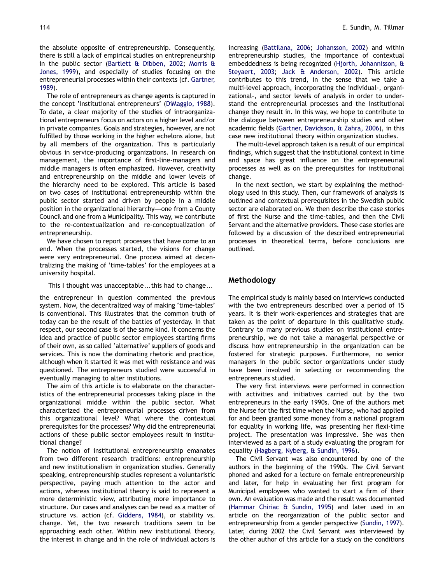the absolute opposite of entrepreneurship. Consequently, there is still a lack of empirical studies on entrepreneurship in the public sector ([Bartlett](#page--1-0) [& Dibben, 2002](#page--1-0); [Morris &](#page--1-0) [Jones, 1999](#page--1-0)), and especially of studies focusing on the entrepreneurial processes within their contexts (cf. [Gartner,](#page--1-0) [1989](#page--1-0)).

The role of entrepreneurs as change agents is captured in the concept 'institutional entrepreneurs' [\(DiMaggio, 1988](#page--1-0)). To date, a clear majority of the studies of intraorganizational entrepreneurs focus on actors on a higher level and/or in private companies. Goals and strategies, however, are not fulfilled by those working in the higher echelons alone, but by all members of the organization. This is particularly obvious in service-producing organizations. In research on management, the importance of first-line-managers and middle managers is often emphasized. However, creativity and entrepreneurship on the middle and lower levels of the hierarchy need to be explored. This article is based on two cases of institutional entrepreneurship within the public sector started and driven by people in a middle position in the organizational hierarchy—one from a County Council and one from a Municipality. This way, we contribute to the re-contextualization and re-conceptualization of entrepreneurship.

We have chosen to report processes that have come to an end. When the processes started, the visions for change were very entrepreneurial. One process aimed at decentralizing the making of 'time-tables' for the employees at a university hospital.

This I thought was unacceptable... this had to change...

the entrepreneur in question commented the previous system. Now, the decentralized way of making 'time-tables' is conventional. This illustrates that the common truth of today can be the result of the battles of yesterday. In that respect, our second case is of the same kind. It concerns the idea and practice of public sector employees starting firms of their own, as so called 'alternative' suppliers of goods and services. This is now the dominating rhetoric and practice, although when it started it was met with resistance and was questioned. The entrepreneurs studied were successful in eventually managing to alter institutions.

The aim of this article is to elaborate on the characteristics of the entrepreneurial processes taking place in the organizational middle within the public sector. What characterized the entrepreneurial processes driven from this organizational level? What where the contextual prerequisites for the processes? Why did the entrepreneurial actions of these public sector employees result in institutional change?

The notion of institutional entrepreneurship emanates from two different research traditions: entrepreneurship and new institutionalism in organization studies. Generally speaking, entrepreneurship studies represent a voluntaristic perspective, paying much attention to the actor and actions, whereas institutional theory is said to represent a more deterministic view, attributing more importance to structure. Our cases and analyses can be read as a matter of structure vs. action (cf. [Giddens, 1984](#page--1-0)), or stability vs. change. Yet, the two research traditions seem to be approaching each other. Within new institutional theory, the interest in change and in the role of individual actors is increasing [\(Battilana, 2006](#page--1-0); [Johansson, 2002](#page--1-0)) and within entrepreneurship studies, the importance of contextual embeddedness is being recognized [\(Hjorth, Johannisson, &](#page--1-0) [Steyaert, 2003](#page--1-0); [Jack](#page--1-0) & [Anderson, 2002](#page--1-0)). This article contributes to this trend, in the sense that we take a multi-level approach, incorporating the individual-, organizational-, and sector levels of analysis in order to understand the entrepreneurial processes and the institutional change they result in. In this way, we hope to contribute to the dialogue between entrepreneurship studies and other academic fields ([Gartner, Davidsson,](#page--1-0) & [Zahra, 2006\)](#page--1-0), in this case new institutional theory within organization studies.

The multi-level approach taken is a result of our empirical findings, which suggest that the institutional context in time and space has great influence on the entrepreneurial processes as well as on the prerequisites for institutional change.

In the next section, we start by explaining the methodology used in this study. Then, our framework of analysis is outlined and contextual prerequisites in the Swedish public sector are elaborated on. We then describe the case stories of first the Nurse and the time-tables, and then the Civil Servant and the alternative providers. These case stories are followed by a discussion of the described entrepreneurial processes in theoretical terms, before conclusions are outlined.

## Methodology

The empirical study is mainly based on interviews conducted with the two entrepreneurs described over a period of 15 years. It is their work-experiences and strategies that are taken as the point of departure in this qualitative study. Contrary to many previous studies on institutional entrepreneurship, we do not take a managerial perspective or discuss how entrepreneurship in the organization can be fostered for strategic purposes. Furthermore, no senior managers in the public sector organizations under study have been involved in selecting or recommending the entrepreneurs studied.

The very first interviews were performed in connection with activities and initiatives carried out by the two entrepreneurs in the early 1990s. One of the authors met the Nurse for the first time when the Nurse, who had applied for and been granted some money from a national program for equality in working life, was presenting her flexi-time project. The presentation was impressive. She was then interviewed as a part of a study evaluating the program for equality [\(Hagberg, Nyberg,](#page--1-0) & [Sundin, 1996](#page--1-0)).

The Civil Servant was also encountered by one of the authors in the beginning of the 1990s. The Civil Servant phoned and asked for a lecture on female entrepreneurship and later, for help in evaluating her first program for Municipal employees who wanted to start a firm of their own. An evaluation was made and the result was documented [\(Hammar Chiriac](#page--1-0) & [Sundin, 1995\)](#page--1-0) and later used in an article on the reorganization of the public sector and entrepreneurship from a gender perspective [\(Sundin, 1997](#page--1-0)). Later, during 2002 the Civil Servant was interviewed by the other author of this article for a study on the conditions